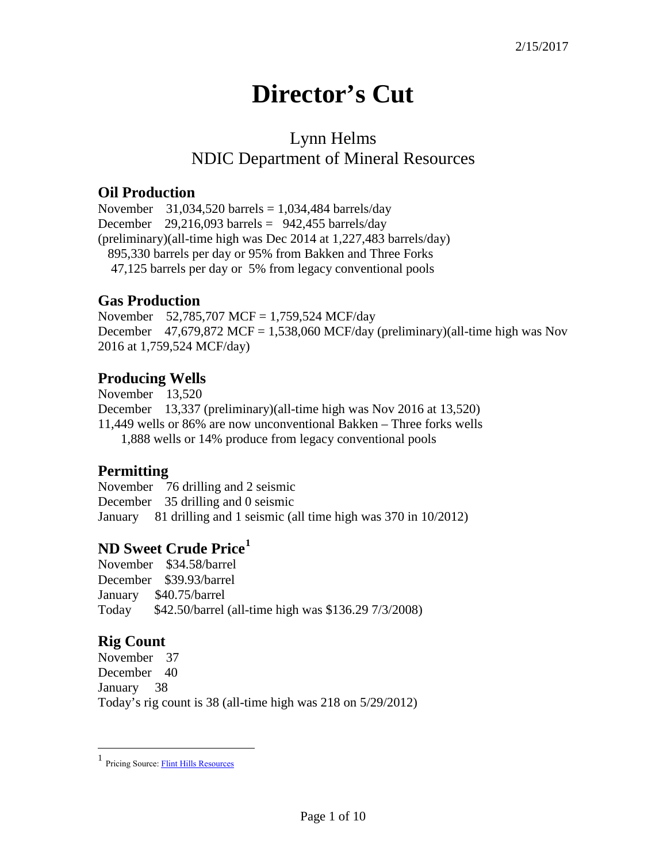# **Director's Cut**

# Lynn Helms NDIC Department of Mineral Resources

### **Oil Production**

November  $31,034,520$  barrels = 1,034,484 barrels/day December  $29,216,093$  barrels =  $942,455$  barrels/day (preliminary)(all-time high was Dec 2014 at 1,227,483 barrels/day) 895,330 barrels per day or 95% from Bakken and Three Forks 47,125 barrels per day or 5% from legacy conventional pools

### **Gas Production**

November 52,785,707 MCF = 1,759,524 MCF/day December  $47,679,872$  MCF = 1,538,060 MCF/day (preliminary)(all-time high was Nov 2016 at 1,759,524 MCF/day)

## **Producing Wells**

November 13,520 December 13,337 (preliminary)(all-time high was Nov 2016 at 13,520) 11,449 wells or 86% are now unconventional Bakken – Three forks wells 1,888 wells or 14% produce from legacy conventional pools

### **Permitting**

November 76 drilling and 2 seismic December 35 drilling and 0 seismic January 81 drilling and 1 seismic (all time high was 370 in 10/2012)

## **ND Sweet Crude Price[1](#page-0-0)**

November \$34.58/barrel December \$39.93/barrel January \$40.75/barrel Today \$42.50/barrel (all-time high was \$136.29 7/3/2008)

## **Rig Count**

 $\overline{a}$ 

November 37 December 40 January 38 Today's rig count is 38 (all-time high was 218 on 5/29/2012)

<span id="page-0-0"></span><sup>1</sup> Pricing Source[: Flint Hills Resources](http://www.fhr.com/refining/bulletins.aspx?AspxAutoDetectCookieSupport=1)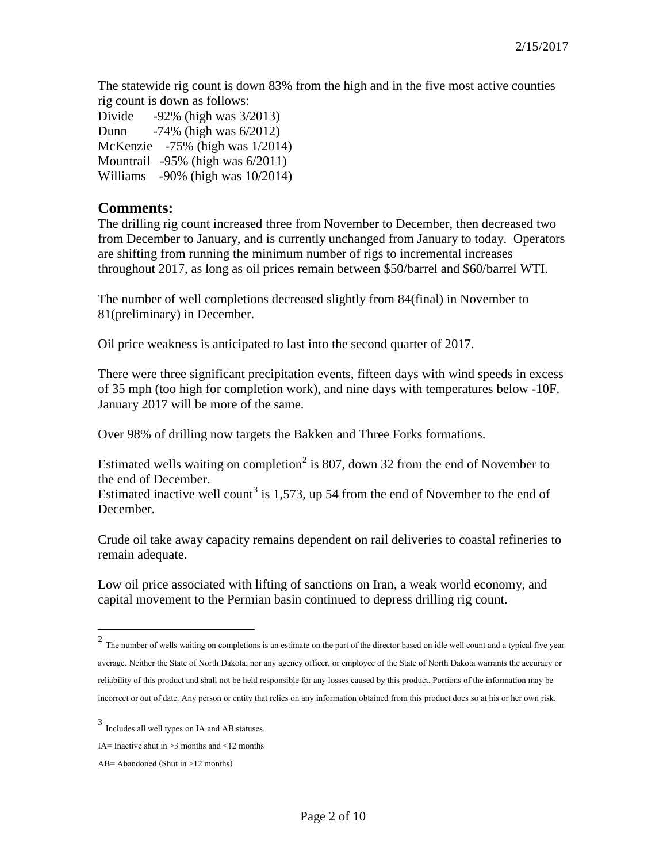The statewide rig count is down 83% from the high and in the five most active counties rig count is down as follows:

Divide -92% (high was 3/2013) Dunn -74% (high was 6/2012) McKenzie -75% (high was 1/2014) Mountrail -95% (high was 6/2011) Williams -90% (high was 10/2014)

#### **Comments:**

The drilling rig count increased three from November to December, then decreased two from December to January, and is currently unchanged from January to today. Operators are shifting from running the minimum number of rigs to incremental increases throughout 2017, as long as oil prices remain between \$50/barrel and \$60/barrel WTI.

The number of well completions decreased slightly from 84(final) in November to 81(preliminary) in December.

Oil price weakness is anticipated to last into the second quarter of 2017.

There were three significant precipitation events, fifteen days with wind speeds in excess of 35 mph (too high for completion work), and nine days with temperatures below -10F. January 2017 will be more of the same.

Over 98% of drilling now targets the Bakken and Three Forks formations.

Estimated wells waiting on completion<sup>[2](#page-1-0)</sup> is 807, down 32 from the end of November to the end of December.

Estimated inactive well count<sup>[3](#page-1-1)</sup> is 1,573, up 54 from the end of November to the end of December.

Crude oil take away capacity remains dependent on rail deliveries to coastal refineries to remain adequate.

Low oil price associated with lifting of sanctions on Iran, a weak world economy, and capital movement to the Permian basin continued to depress drilling rig count.

 $\overline{a}$ 

<span id="page-1-0"></span> $2$  The number of wells waiting on completions is an estimate on the part of the director based on idle well count and a typical five year average. Neither the State of North Dakota, nor any agency officer, or employee of the State of North Dakota warrants the accuracy or reliability of this product and shall not be held responsible for any losses caused by this product. Portions of the information may be incorrect or out of date. Any person or entity that relies on any information obtained from this product does so at his or her own risk.

<span id="page-1-1"></span><sup>3</sup> Includes all well types on IA and AB statuses.

IA= Inactive shut in  $\geq$ 3 months and  $\leq$ 12 months

AB= Abandoned (Shut in >12 months)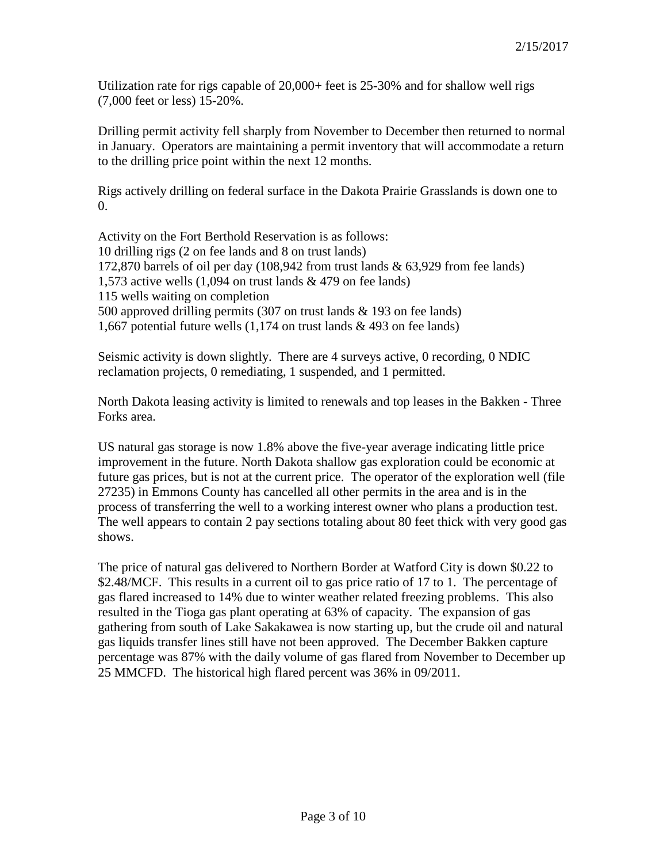Utilization rate for rigs capable of 20,000+ feet is 25-30% and for shallow well rigs (7,000 feet or less) 15-20%.

Drilling permit activity fell sharply from November to December then returned to normal in January. Operators are maintaining a permit inventory that will accommodate a return to the drilling price point within the next 12 months.

Rigs actively drilling on federal surface in the Dakota Prairie Grasslands is down one to  $\Omega$ .

Activity on the Fort Berthold Reservation is as follows: 10 drilling rigs (2 on fee lands and 8 on trust lands) 172,870 barrels of oil per day (108,942 from trust lands & 63,929 from fee lands) 1,573 active wells (1,094 on trust lands & 479 on fee lands) 115 wells waiting on completion 500 approved drilling permits (307 on trust lands & 193 on fee lands) 1,667 potential future wells (1,174 on trust lands & 493 on fee lands)

Seismic activity is down slightly. There are 4 surveys active, 0 recording, 0 NDIC reclamation projects, 0 remediating, 1 suspended, and 1 permitted.

North Dakota leasing activity is limited to renewals and top leases in the Bakken - Three Forks area.

US natural gas storage is now 1.8% above the five-year average indicating little price improvement in the future. North Dakota shallow gas exploration could be economic at future gas prices, but is not at the current price. The operator of the exploration well (file 27235) in Emmons County has cancelled all other permits in the area and is in the process of transferring the well to a working interest owner who plans a production test. The well appears to contain 2 pay sections totaling about 80 feet thick with very good gas shows.

The price of natural gas delivered to Northern Border at Watford City is down \$0.22 to \$2.48/MCF. This results in a current oil to gas price ratio of 17 to 1. The percentage of gas flared increased to 14% due to winter weather related freezing problems. This also resulted in the Tioga gas plant operating at 63% of capacity. The expansion of gas gathering from south of Lake Sakakawea is now starting up, but the crude oil and natural gas liquids transfer lines still have not been approved. The December Bakken capture percentage was 87% with the daily volume of gas flared from November to December up 25 MMCFD. The historical high flared percent was 36% in 09/2011.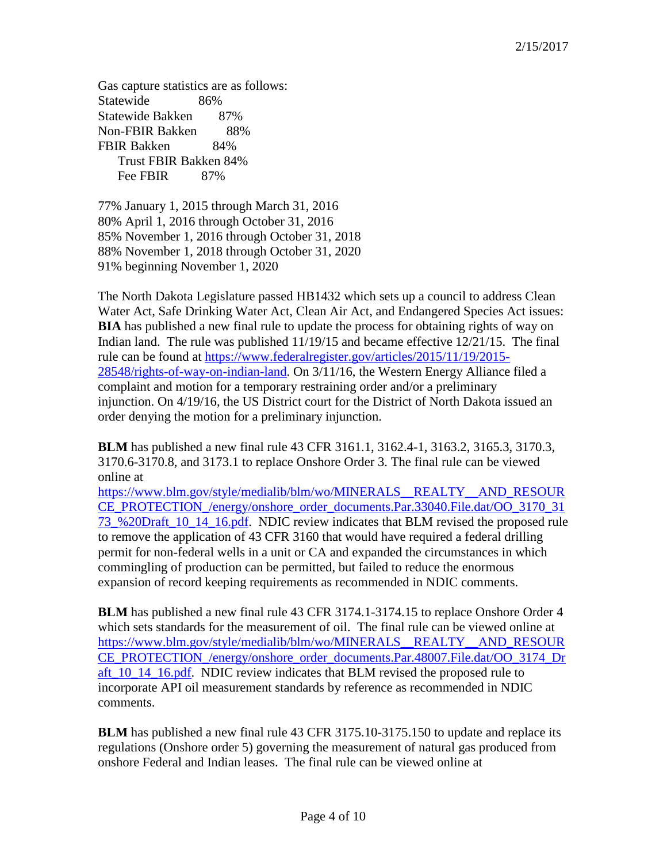Gas capture statistics are as follows: Statewide 86% Statewide Bakken 87% Non-FBIR Bakken 88% FBIR Bakken 84% Trust FBIR Bakken 84% Fee FBIR 87%

77% January 1, 2015 through March 31, 2016 80% April 1, 2016 through October 31, 2016 85% November 1, 2016 through October 31, 2018 88% November 1, 2018 through October 31, 2020 91% beginning November 1, 2020

The North Dakota Legislature passed HB1432 which sets up a council to address Clean Water Act, Safe Drinking Water Act, Clean Air Act, and Endangered Species Act issues: **BIA** has published a new final rule to update the process for obtaining rights of way on Indian land. The rule was published 11/19/15 and became effective 12/21/15. The final rule can be found at [https://www.federalregister.gov/articles/2015/11/19/2015-](https://www.federalregister.gov/articles/2015/11/19/2015-28548/rights-of-way-on-indian-land) [28548/rights-of-way-on-indian-land.](https://www.federalregister.gov/articles/2015/11/19/2015-28548/rights-of-way-on-indian-land) On 3/11/16, the Western Energy Alliance filed a complaint and motion for a temporary restraining order and/or a preliminary injunction. On 4/19/16, the US District court for the District of North Dakota issued an order denying the motion for a preliminary injunction.

**BLM** has published a new final rule 43 CFR 3161.1, 3162.4-1, 3163.2, 3165.3, 3170.3, 3170.6-3170.8, and 3173.1 to replace Onshore Order 3. The final rule can be viewed online at

[https://www.blm.gov/style/medialib/blm/wo/MINERALS\\_\\_REALTY\\_\\_AND\\_RESOUR](https://www.blm.gov/style/medialib/blm/wo/MINERALS__REALTY__AND_RESOURCE_PROTECTION_/energy/onshore_order_documents.Par.33040.File.dat/OO_3170_3173_%20Draft_10_14_16.pdf) [CE\\_PROTECTION\\_/energy/onshore\\_order\\_documents.Par.33040.File.dat/OO\\_3170\\_31](https://www.blm.gov/style/medialib/blm/wo/MINERALS__REALTY__AND_RESOURCE_PROTECTION_/energy/onshore_order_documents.Par.33040.File.dat/OO_3170_3173_%20Draft_10_14_16.pdf) [73\\_%20Draft\\_10\\_14\\_16.pdf.](https://www.blm.gov/style/medialib/blm/wo/MINERALS__REALTY__AND_RESOURCE_PROTECTION_/energy/onshore_order_documents.Par.33040.File.dat/OO_3170_3173_%20Draft_10_14_16.pdf) NDIC review indicates that BLM revised the proposed rule to remove the application of 43 CFR 3160 that would have required a federal drilling permit for non-federal wells in a unit or CA and expanded the circumstances in which commingling of production can be permitted, but failed to reduce the enormous expansion of record keeping requirements as recommended in NDIC comments.

**BLM** has published a new final rule 43 CFR 3174.1-3174.15 to replace Onshore Order 4 which sets standards for the measurement of oil. The final rule can be viewed online at [https://www.blm.gov/style/medialib/blm/wo/MINERALS\\_\\_REALTY\\_\\_AND\\_RESOUR](https://www.blm.gov/style/medialib/blm/wo/MINERALS__REALTY__AND_RESOURCE_PROTECTION_/energy/onshore_order_documents.Par.48007.File.dat/OO_3174_Draft_10_14_16.pdf) [CE\\_PROTECTION\\_/energy/onshore\\_order\\_documents.Par.48007.File.dat/OO\\_3174\\_Dr](https://www.blm.gov/style/medialib/blm/wo/MINERALS__REALTY__AND_RESOURCE_PROTECTION_/energy/onshore_order_documents.Par.48007.File.dat/OO_3174_Draft_10_14_16.pdf) aft 10\_14\_16.pdf. NDIC review indicates that BLM revised the proposed rule to incorporate API oil measurement standards by reference as recommended in NDIC comments.

**BLM** has published a new final rule 43 CFR 3175.10-3175.150 to update and replace its regulations (Onshore order 5) governing the measurement of natural gas produced from onshore Federal and Indian leases. The final rule can be viewed online at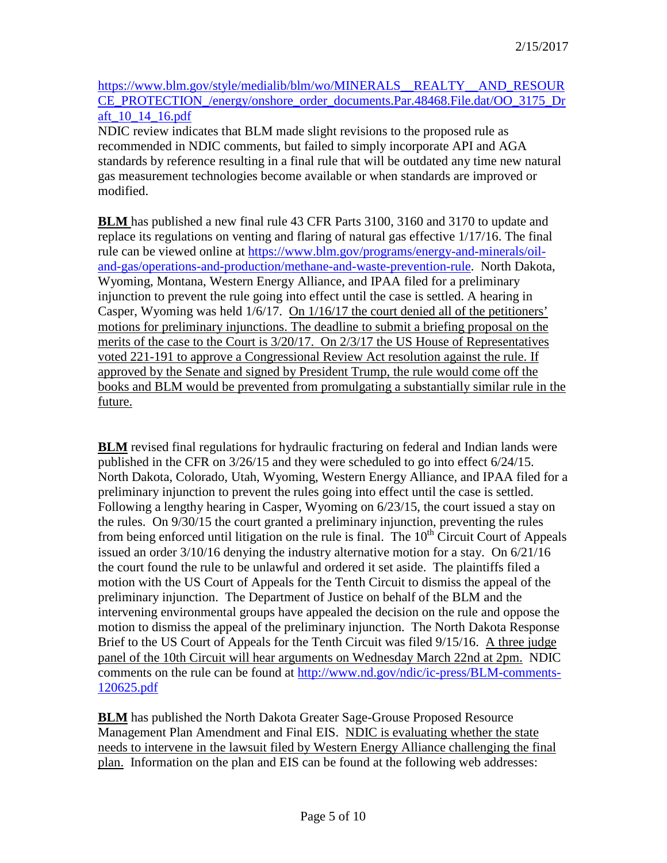[https://www.blm.gov/style/medialib/blm/wo/MINERALS\\_\\_REALTY\\_\\_AND\\_RESOUR](https://www.blm.gov/style/medialib/blm/wo/MINERALS__REALTY__AND_RESOURCE_PROTECTION_/energy/onshore_order_documents.Par.48468.File.dat/OO_3175_Draft_10_14_16.pdf) [CE\\_PROTECTION\\_/energy/onshore\\_order\\_documents.Par.48468.File.dat/OO\\_3175\\_Dr](https://www.blm.gov/style/medialib/blm/wo/MINERALS__REALTY__AND_RESOURCE_PROTECTION_/energy/onshore_order_documents.Par.48468.File.dat/OO_3175_Draft_10_14_16.pdf) [aft\\_10\\_14\\_16.pdf](https://www.blm.gov/style/medialib/blm/wo/MINERALS__REALTY__AND_RESOURCE_PROTECTION_/energy/onshore_order_documents.Par.48468.File.dat/OO_3175_Draft_10_14_16.pdf)

NDIC review indicates that BLM made slight revisions to the proposed rule as recommended in NDIC comments, but failed to simply incorporate API and AGA standards by reference resulting in a final rule that will be outdated any time new natural gas measurement technologies become available or when standards are improved or modified.

**BLM** has published a new final rule 43 CFR Parts 3100, 3160 and 3170 to update and replace its regulations on venting and flaring of natural gas effective 1/17/16. The final rule can be viewed online at [https://www.blm.gov/programs/energy-and-minerals/oil](https://www.blm.gov/programs/energy-and-minerals/oil-and-gas/operations-and-production/methane-and-waste-prevention-rule)[and-gas/operations-and-production/methane-and-waste-prevention-rule.](https://www.blm.gov/programs/energy-and-minerals/oil-and-gas/operations-and-production/methane-and-waste-prevention-rule) North Dakota, Wyoming, Montana, Western Energy Alliance, and IPAA filed for a preliminary injunction to prevent the rule going into effect until the case is settled. A hearing in Casper, Wyoming was held 1/6/17. On 1/16/17 the court denied all of the petitioners' motions for preliminary injunctions. The deadline to submit a briefing proposal on the merits of the case to the Court is 3/20/17. On 2/3/17 the US House of Representatives voted 221-191 to approve a Congressional Review Act resolution against the rule. If approved by the Senate and signed by President Trump, the rule would come off the books and BLM would be prevented from promulgating a substantially similar rule in the future.

**BLM** revised final regulations for hydraulic fracturing on federal and Indian lands were published in the CFR on 3/26/15 and they were scheduled to go into effect 6/24/15. North Dakota, Colorado, Utah, Wyoming, Western Energy Alliance, and IPAA filed for a preliminary injunction to prevent the rules going into effect until the case is settled. Following a lengthy hearing in Casper, Wyoming on 6/23/15, the court issued a stay on the rules. On 9/30/15 the court granted a preliminary injunction, preventing the rules from being enforced until litigation on the rule is final. The  $10<sup>th</sup>$  Circuit Court of Appeals issued an order 3/10/16 denying the industry alternative motion for a stay. On 6/21/16 the court found the rule to be unlawful and ordered it set aside. The plaintiffs filed a motion with the US Court of Appeals for the Tenth Circuit to dismiss the appeal of the preliminary injunction. The Department of Justice on behalf of the BLM and the intervening environmental groups have appealed the decision on the rule and oppose the motion to dismiss the appeal of the preliminary injunction. The North Dakota Response Brief to the US Court of Appeals for the Tenth Circuit was filed 9/15/16. A three judge panel of the 10th Circuit will hear arguments on Wednesday March 22nd at 2pm. NDIC comments on the rule can be found at [http://www.nd.gov/ndic/ic-press/BLM-comments-](http://www.nd.gov/ndic/ic-press/BLM-comments-120625.pdf)[120625.pdf](http://www.nd.gov/ndic/ic-press/BLM-comments-120625.pdf)

**BLM** has published the North Dakota Greater Sage-Grouse Proposed Resource Management Plan Amendment and Final EIS. NDIC is evaluating whether the state needs to intervene in the lawsuit filed by Western Energy Alliance challenging the final plan. Information on the plan and EIS can be found at the following web addresses: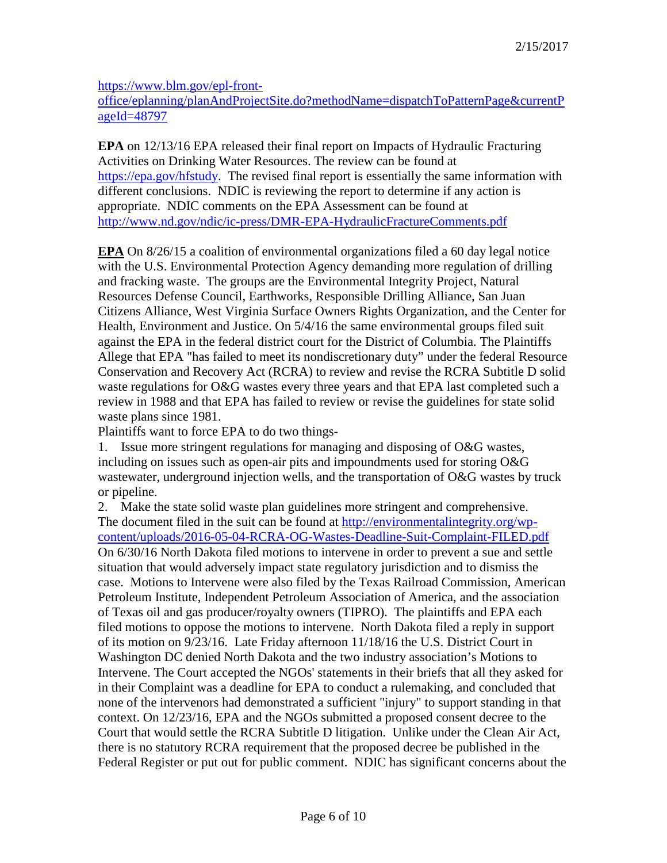[https://www.blm.gov/epl-front-](https://www.blm.gov/epl-front-office/eplanning/planAndProjectSite.do?methodName=dispatchToPatternPage¤tPageId=48797)

[office/eplanning/planAndProjectSite.do?methodName=dispatchToPatternPage&currentP](https://www.blm.gov/epl-front-office/eplanning/planAndProjectSite.do?methodName=dispatchToPatternPage¤tPageId=48797) [ageId=48797](https://www.blm.gov/epl-front-office/eplanning/planAndProjectSite.do?methodName=dispatchToPatternPage¤tPageId=48797)

**EPA** on 12/13/16 EPA released their final report on Impacts of Hydraulic Fracturing Activities on Drinking Water Resources. The review can be found at [https://epa.gov/hfstudy.](https://epa.gov/hfstudy) The revised final report is essentially the same information with different conclusions. NDIC is reviewing the report to determine if any action is appropriate. NDIC comments on the EPA Assessment can be found at <http://www.nd.gov/ndic/ic-press/DMR-EPA-HydraulicFractureComments.pdf>

**EPA** On 8/26/15 a coalition of environmental organizations filed a 60 day legal notice with the U.S. Environmental Protection Agency demanding more regulation of drilling and fracking waste. The groups are the Environmental Integrity Project, Natural Resources Defense Council, Earthworks, Responsible Drilling Alliance, San Juan Citizens Alliance, West Virginia Surface Owners Rights Organization, and the Center for Health, Environment and Justice. On 5/4/16 the same environmental groups filed suit against the EPA in the federal district court for the District of Columbia. The Plaintiffs Allege that EPA "has failed to meet its nondiscretionary duty" under the federal Resource Conservation and Recovery Act (RCRA) to review and revise the RCRA Subtitle D solid waste regulations for O&G wastes every three years and that EPA last completed such a review in 1988 and that EPA has failed to review or revise the guidelines for state solid waste plans since 1981.

Plaintiffs want to force EPA to do two things-

1. Issue more stringent regulations for managing and disposing of O&G wastes, including on issues such as open-air pits and impoundments used for storing O&G wastewater, underground injection wells, and the transportation of O&G wastes by truck or pipeline.

2. Make the state solid waste plan guidelines more stringent and comprehensive. The document filed in the suit can be found at [http://environmentalintegrity.org/wp](http://environmentalintegrity.org/wp-content/uploads/2016-05-04-RCRA-OG-Wastes-Deadline-Suit-Complaint-FILED.pdf)[content/uploads/2016-05-04-RCRA-OG-Wastes-Deadline-Suit-Complaint-FILED.pdf](http://environmentalintegrity.org/wp-content/uploads/2016-05-04-RCRA-OG-Wastes-Deadline-Suit-Complaint-FILED.pdf) On 6/30/16 North Dakota filed motions to intervene in order to prevent a sue and settle situation that would adversely impact state regulatory jurisdiction and to dismiss the case. Motions to Intervene were also filed by the Texas Railroad Commission, American Petroleum Institute, Independent Petroleum Association of America, and the association of Texas oil and gas producer/royalty owners (TIPRO). The plaintiffs and EPA each filed motions to oppose the motions to intervene. North Dakota filed a reply in support of its motion on 9/23/16. Late Friday afternoon 11/18/16 the U.S. District Court in Washington DC denied North Dakota and the two industry association's Motions to Intervene. The Court accepted the NGOs' statements in their briefs that all they asked for in their Complaint was a deadline for EPA to conduct a rulemaking, and concluded that none of the intervenors had demonstrated a sufficient "injury" to support standing in that context. On 12/23/16, EPA and the NGOs submitted a proposed consent decree to the Court that would settle the RCRA Subtitle D litigation. Unlike under the Clean Air Act, there is no statutory RCRA requirement that the proposed decree be published in the Federal Register or put out for public comment. NDIC has significant concerns about the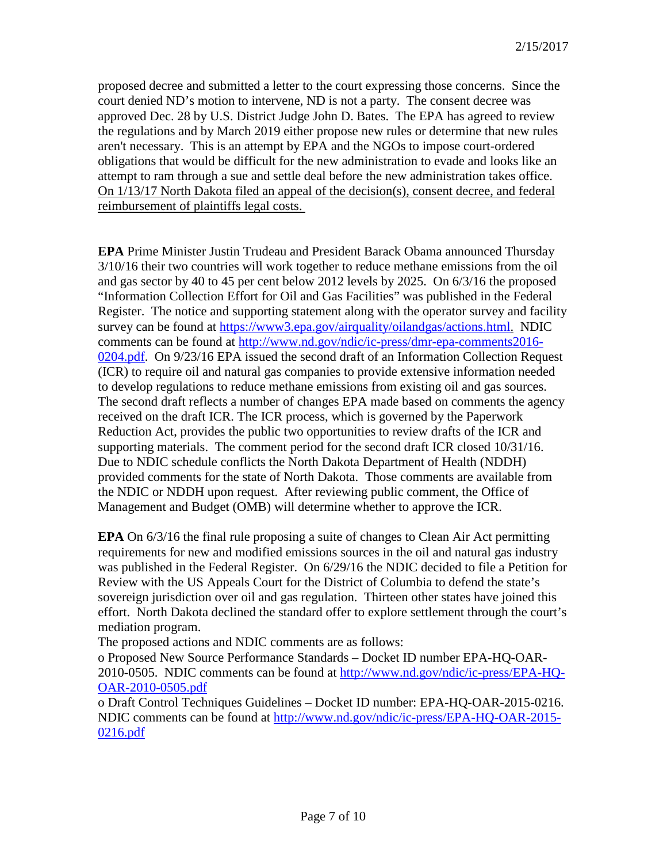proposed decree and submitted a letter to the court expressing those concerns. Since the court denied ND's motion to intervene, ND is not a party. The consent decree was approved Dec. 28 by U.S. District Judge John D. Bates. The EPA has agreed to review the regulations and by March 2019 either propose new rules or determine that new rules aren't necessary. This is an attempt by EPA and the NGOs to impose court-ordered obligations that would be difficult for the new administration to evade and looks like an attempt to ram through a sue and settle deal before the new administration takes office. On 1/13/17 North Dakota filed an appeal of the decision(s), consent decree, and federal reimbursement of plaintiffs legal costs.

**EPA** Prime Minister Justin Trudeau and President Barack Obama announced Thursday 3/10/16 their two countries will work together to reduce methane emissions from the oil and gas sector by 40 to 45 per cent below 2012 levels by 2025. On 6/3/16 the proposed "Information Collection Effort for Oil and Gas Facilities" was published in the Federal Register. The notice and supporting statement along with the operator survey and facility survey can be found at [https://www3.epa.gov/airquality/oilandgas/actions.html.](https://www3.epa.gov/airquality/oilandgas/actions.html) NDIC comments can be found at [http://www.nd.gov/ndic/ic-press/dmr-epa-comments2016-](http://www.nd.gov/ndic/ic-press/dmr-epa-comments2016-0204.pdf) [0204.pdf.](http://www.nd.gov/ndic/ic-press/dmr-epa-comments2016-0204.pdf) On 9/23/16 EPA issued the second draft of an Information Collection Request (ICR) to require oil and natural gas companies to provide extensive information needed to develop regulations to reduce methane emissions from existing oil and gas sources. The second draft reflects a number of changes EPA made based on comments the agency received on the draft ICR. The ICR process, which is governed by the Paperwork Reduction Act, provides the public two opportunities to review drafts of the ICR and supporting materials. The comment period for the second draft ICR closed 10/31/16. Due to NDIC schedule conflicts the North Dakota Department of Health (NDDH) provided comments for the state of North Dakota. Those comments are available from the NDIC or NDDH upon request. After reviewing public comment, the Office of Management and Budget (OMB) will determine whether to approve the ICR.

**EPA** On 6/3/16 the final rule proposing a suite of changes to Clean Air Act permitting requirements for new and modified emissions sources in the oil and natural gas industry was published in the Federal Register. On 6/29/16 the NDIC decided to file a Petition for Review with the US Appeals Court for the District of Columbia to defend the state's sovereign jurisdiction over oil and gas regulation. Thirteen other states have joined this effort. North Dakota declined the standard offer to explore settlement through the court's mediation program.

The proposed actions and NDIC comments are as follows:

o Proposed New Source Performance Standards – Docket ID number EPA-HQ-OAR-2010-0505. NDIC comments can be found at [http://www.nd.gov/ndic/ic-press/EPA-HQ-](http://www.nd.gov/ndic/ic-press/EPA-HQ-OAR-2010-0505.pdf)[OAR-2010-0505.pdf](http://www.nd.gov/ndic/ic-press/EPA-HQ-OAR-2010-0505.pdf)

o Draft Control Techniques Guidelines – Docket ID number: EPA-HQ-OAR-2015-0216. NDIC comments can be found at [http://www.nd.gov/ndic/ic-press/EPA-HQ-OAR-2015-](http://www.nd.gov/ndic/ic-press/EPA-HQ-OAR-2015-0216.pdf) [0216.pdf](http://www.nd.gov/ndic/ic-press/EPA-HQ-OAR-2015-0216.pdf)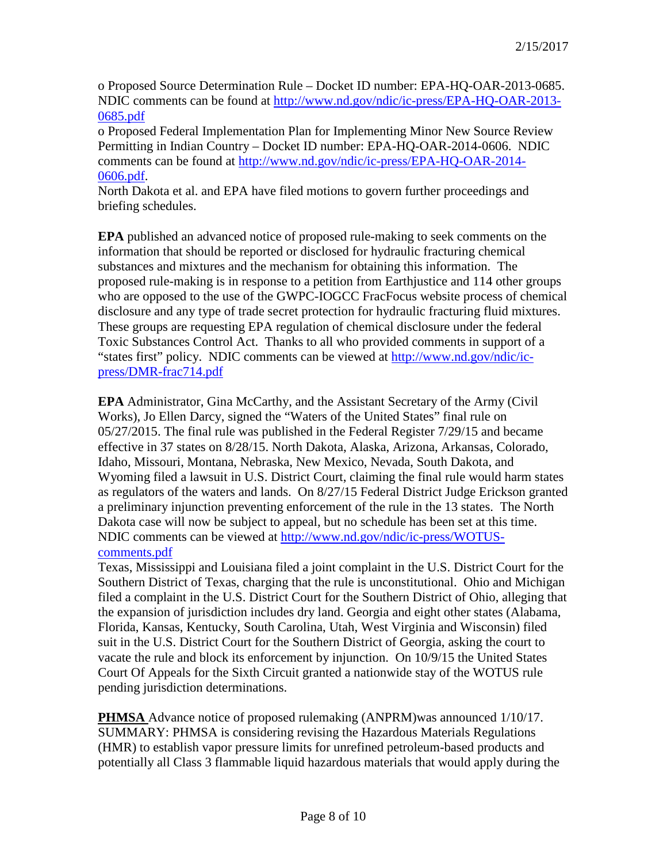o Proposed Source Determination Rule – Docket ID number: EPA-HQ-OAR-2013-0685. NDIC comments can be found at [http://www.nd.gov/ndic/ic-press/EPA-HQ-OAR-2013-](http://www.nd.gov/ndic/ic-press/EPA-HQ-OAR-2013-0685.pdf) [0685.pdf](http://www.nd.gov/ndic/ic-press/EPA-HQ-OAR-2013-0685.pdf)

o Proposed Federal Implementation Plan for Implementing Minor New Source Review Permitting in Indian Country – Docket ID number: EPA-HQ-OAR-2014-0606. NDIC comments can be found at [http://www.nd.gov/ndic/ic-press/EPA-HQ-OAR-2014-](http://www.nd.gov/ndic/ic-press/EPA-HQ-OAR-2014-0606.pdf) [0606.pdf.](http://www.nd.gov/ndic/ic-press/EPA-HQ-OAR-2014-0606.pdf)

North Dakota et al. and EPA have filed motions to govern further proceedings and briefing schedules.

**EPA** published an advanced notice of proposed rule-making to seek comments on the information that should be reported or disclosed for hydraulic fracturing chemical substances and mixtures and the mechanism for obtaining this information. The proposed rule-making is in response to a petition from Earthjustice and 114 other groups who are opposed to the use of the GWPC-IOGCC FracFocus website process of chemical disclosure and any type of trade secret protection for hydraulic fracturing fluid mixtures. These groups are requesting EPA regulation of chemical disclosure under the federal Toxic Substances Control Act. Thanks to all who provided comments in support of a "states first" policy. NDIC comments can be viewed at [http://www.nd.gov/ndic/ic](http://www.nd.gov/ndic/ic-press/DMR-frac714.pdf)[press/DMR-frac714.pdf](http://www.nd.gov/ndic/ic-press/DMR-frac714.pdf)

**EPA** Administrator, Gina McCarthy, and the Assistant Secretary of the Army (Civil Works), Jo Ellen Darcy, signed the "Waters of the United States" final rule on 05/27/2015. The final rule was published in the Federal Register 7/29/15 and became effective in 37 states on 8/28/15. North Dakota, Alaska, Arizona, Arkansas, Colorado, Idaho, Missouri, Montana, Nebraska, New Mexico, Nevada, South Dakota, and Wyoming filed a lawsuit in U.S. District Court, claiming the final rule would harm states as regulators of the waters and lands. On 8/27/15 Federal District Judge Erickson granted a preliminary injunction preventing enforcement of the rule in the 13 states. The North Dakota case will now be subject to appeal, but no schedule has been set at this time. NDIC comments can be viewed at [http://www.nd.gov/ndic/ic-press/WOTUS](http://www.nd.gov/ndic/ic-press/WOTUS-comments.pdf)[comments.pdf](http://www.nd.gov/ndic/ic-press/WOTUS-comments.pdf)

Texas, Mississippi and Louisiana filed a joint complaint in the U.S. District Court for the Southern District of Texas, charging that the rule is unconstitutional. Ohio and Michigan filed a complaint in the U.S. District Court for the Southern District of Ohio, alleging that the expansion of jurisdiction includes dry land. Georgia and eight other states (Alabama, Florida, Kansas, Kentucky, South Carolina, Utah, West Virginia and Wisconsin) filed suit in the U.S. District Court for the Southern District of Georgia, asking the court to vacate the rule and block its enforcement by injunction. On 10/9/15 the United States Court Of Appeals for the Sixth Circuit granted a nationwide stay of the WOTUS rule pending jurisdiction determinations.

**PHMSA** Advance notice of proposed rulemaking (ANPRM)was announced 1/10/17. SUMMARY: PHMSA is considering revising the Hazardous Materials Regulations (HMR) to establish vapor pressure limits for unrefined petroleum-based products and potentially all Class 3 flammable liquid hazardous materials that would apply during the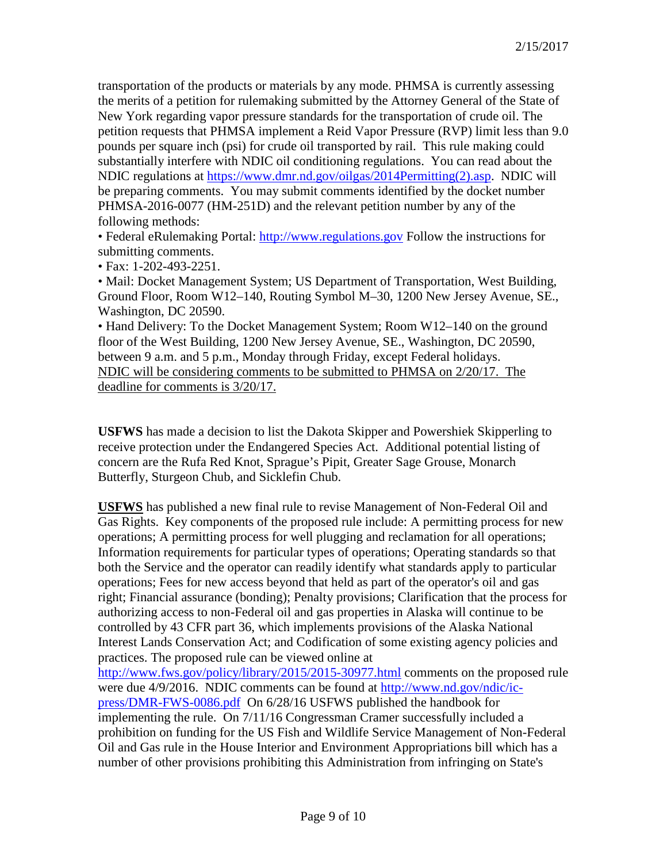transportation of the products or materials by any mode. PHMSA is currently assessing the merits of a petition for rulemaking submitted by the Attorney General of the State of New York regarding vapor pressure standards for the transportation of crude oil. The petition requests that PHMSA implement a Reid Vapor Pressure (RVP) limit less than 9.0 pounds per square inch (psi) for crude oil transported by rail. This rule making could substantially interfere with NDIC oil conditioning regulations. You can read about the NDIC regulations at [https://www.dmr.nd.gov/oilgas/2014Permitting\(2\).asp.](https://www.dmr.nd.gov/oilgas/2014Permitting(2).asp) NDIC will be preparing comments. You may submit comments identified by the docket number PHMSA-2016-0077 (HM-251D) and the relevant petition number by any of the following methods:

• Federal eRulemaking Portal: [http://www.regulations.gov](http://www.regulations.gov/) Follow the instructions for submitting comments.

• Fax: 1-202-493-2251.

• Mail: Docket Management System; US Department of Transportation, West Building, Ground Floor, Room W12–140, Routing Symbol M–30, 1200 New Jersey Avenue, SE., Washington, DC 20590.

• Hand Delivery: To the Docket Management System; Room W12–140 on the ground floor of the West Building, 1200 New Jersey Avenue, SE., Washington, DC 20590, between 9 a.m. and 5 p.m., Monday through Friday, except Federal holidays. NDIC will be considering comments to be submitted to PHMSA on 2/20/17. The deadline for comments is 3/20/17.

**USFWS** has made a decision to list the Dakota Skipper and Powershiek Skipperling to receive protection under the Endangered Species Act. Additional potential listing of concern are the Rufa Red Knot, Sprague's Pipit, Greater Sage Grouse, Monarch Butterfly, Sturgeon Chub, and Sicklefin Chub.

**USFWS** has published a new final rule to revise Management of Non-Federal Oil and Gas Rights. Key components of the proposed rule include: A permitting process for new operations; A permitting process for well plugging and reclamation for all operations; Information requirements for particular types of operations; Operating standards so that both the Service and the operator can readily identify what standards apply to particular operations; Fees for new access beyond that held as part of the operator's oil and gas right; Financial assurance (bonding); Penalty provisions; Clarification that the process for authorizing access to non-Federal oil and gas properties in Alaska will continue to be controlled by 43 CFR part 36, which implements provisions of the Alaska National Interest Lands Conservation Act; and Codification of some existing agency policies and practices. The proposed rule can be viewed online at <http://www.fws.gov/policy/library/2015/2015-30977.html> comments on the proposed rule

were due 4/9/2016. NDIC comments can be found at [http://www.nd.gov/ndic/ic](http://www.nd.gov/ndic/ic-press/DMR-FWS-0086.pdf)[press/DMR-FWS-0086.pdf](http://www.nd.gov/ndic/ic-press/DMR-FWS-0086.pdf) On 6/28/16 USFWS published the handbook for implementing the rule. On 7/11/16 Congressman Cramer successfully included a prohibition on funding for the US Fish and Wildlife Service Management of Non-Federal Oil and Gas rule in the House Interior and Environment Appropriations bill which has a number of other provisions prohibiting this Administration from infringing on State's